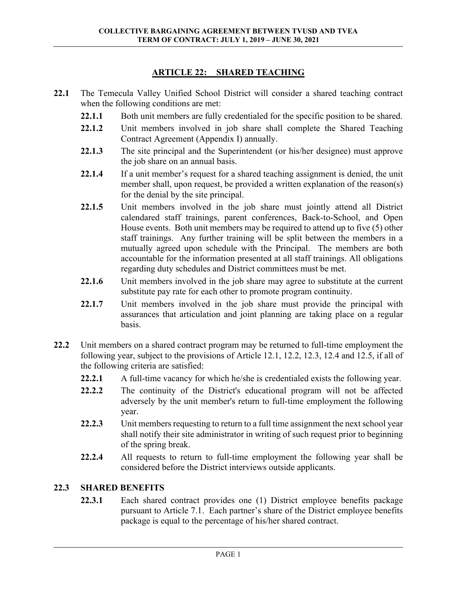## **ARTICLE 22: SHARED TEACHING**

- **22.1** The Temecula Valley Unified School District will consider a shared teaching contract when the following conditions are met:
	- 22.1.1 Both unit members are fully credentialed for the specific position to be shared.
	- **22.1.2** Unit members involved in job share shall complete the Shared Teaching Contract Agreement (Appendix I) annually.
	- **22.1.3** The site principal and the Superintendent (or his/her designee) must approve the job share on an annual basis.
	- **22.1.4** If a unit member's request for a shared teaching assignment is denied, the unit member shall, upon request, be provided a written explanation of the reason(s) for the denial by the site principal.
	- **22.1.5** Unit members involved in the job share must jointly attend all District calendared staff trainings, parent conferences, Back-to-School, and Open House events. Both unit members may be required to attend up to five (5) other staff trainings. Any further training will be split between the members in a mutually agreed upon schedule with the Principal. The members are both accountable for the information presented at all staff trainings. All obligations regarding duty schedules and District committees must be met.
	- **22.1.6** Unit members involved in the job share may agree to substitute at the current substitute pay rate for each other to promote program continuity.
	- **22.1.7** Unit members involved in the job share must provide the principal with assurances that articulation and joint planning are taking place on a regular basis.
- **22.2** Unit members on a shared contract program may be returned to full-time employment the following year, subject to the provisions of Article 12.1, 12.2, 12.3, 12.4 and 12.5, if all of the following criteria are satisfied:
	- **22.2.1** A full-time vacancy for which he/she is credentialed exists the following year.
	- **22.2.2** The continuity of the District's educational program will not be affected adversely by the unit member's return to full-time employment the following year.
	- **22.2.3** Unit members requesting to return to a full time assignment the next school year shall notify their site administrator in writing of such request prior to beginning of the spring break.
	- **22.2.4** All requests to return to full-time employment the following year shall be considered before the District interviews outside applicants.

## **22.3 SHARED BENEFITS**

**22.3.1** Each shared contract provides one (1) District employee benefits package pursuant to Article 7.1. Each partner's share of the District employee benefits package is equal to the percentage of his/her shared contract.